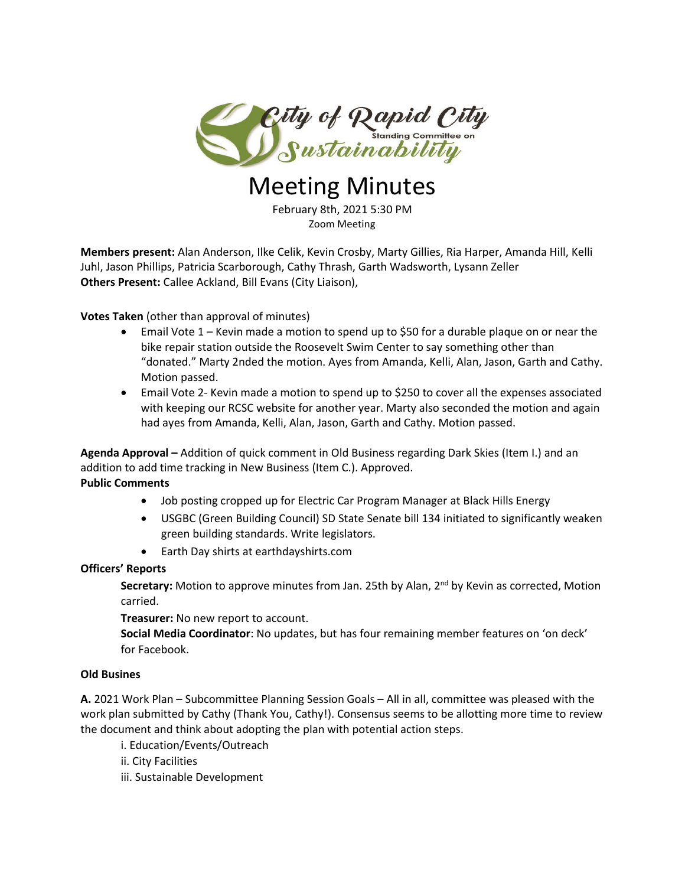

# Meeting Minutes

February 8th, 2021 5:30 PM Zoom Meeting

**Members present:** Alan Anderson, Ilke Celik, Kevin Crosby, Marty Gillies, Ria Harper, Amanda Hill, Kelli Juhl, Jason Phillips, Patricia Scarborough, Cathy Thrash, Garth Wadsworth, Lysann Zeller **Others Present:** Callee Ackland, Bill Evans (City Liaison),

**Votes Taken** (other than approval of minutes)

- Email Vote 1 Kevin made a motion to spend up to \$50 for a durable plaque on or near the bike repair station outside the Roosevelt Swim Center to say something other than "donated." Marty 2nded the motion. Ayes from Amanda, Kelli, Alan, Jason, Garth and Cathy. Motion passed.
- Email Vote 2- Kevin made a motion to spend up to \$250 to cover all the expenses associated with keeping our RCSC website for another year. Marty also seconded the motion and again had ayes from Amanda, Kelli, Alan, Jason, Garth and Cathy. Motion passed.

**Agenda Approval –** Addition of quick comment in Old Business regarding Dark Skies (Item I.) and an addition to add time tracking in New Business (Item C.). Approved. **Public Comments**

- Job posting cropped up for Electric Car Program Manager at Black Hills Energy
- USGBC (Green Building Council) SD State Senate bill 134 initiated to significantly weaken green building standards. Write legislators.
- Earth Day shirts at earthdayshirts.com

# **Officers' Reports**

Secretary: Motion to approve minutes from Jan. 25th by Alan, 2<sup>nd</sup> by Kevin as corrected, Motion carried.

**Treasurer:** No new report to account.

**Social Media Coordinator**: No updates, but has four remaining member features on 'on deck' for Facebook.

# **Old Busines**

**A.** 2021 Work Plan – Subcommittee Planning Session Goals – All in all, committee was pleased with the work plan submitted by Cathy (Thank You, Cathy!). Consensus seems to be allotting more time to review the document and think about adopting the plan with potential action steps.

i. Education/Events/Outreach

ii. City Facilities

iii. Sustainable Development